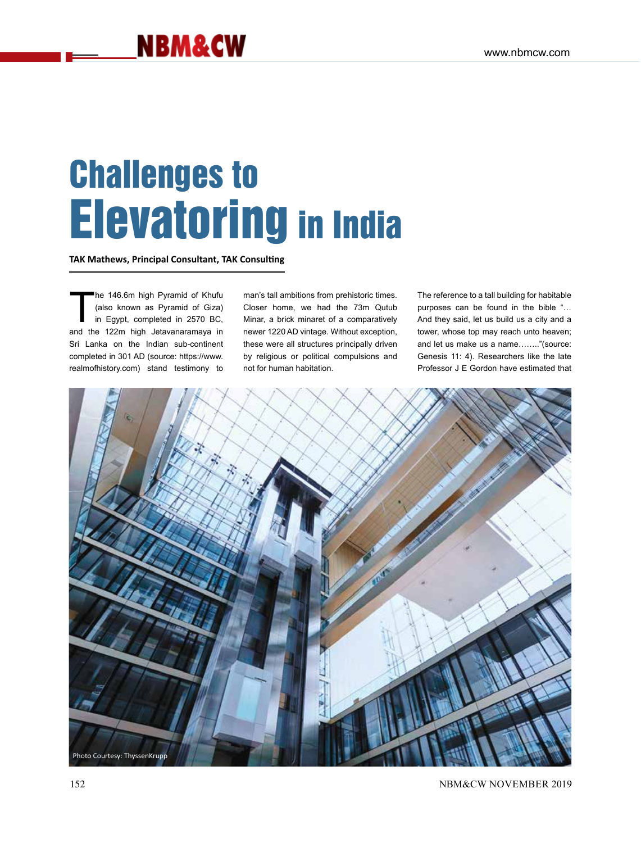# Challenges to Elevatoring in India

**TAK Mathews, Principal Consultant, TAK Consulting**

he 146.6m high Pyramid of Khufu<br>(also known as Pyramid of Giza)<br>in Egypt, completed in 2570 BC,<br>and the 122m bigh letavanaramaya in (also known as Pyramid of Giza) in Egypt, completed in 2570 BC, and the 122m high Jetavanaramaya in Sri Lanka on the Indian sub-continent completed in 301 AD (source: https://www. realmofhistory.com) stand testimony to

man's tall ambitions from prehistoric times. Closer home, we had the 73m Qutub Minar, a brick minaret of a comparatively newer 1220 AD vintage. Without exception, these were all structures principally driven by religious or political compulsions and not for human habitation.

The reference to a tall building for habitable purposes can be found in the bible "… And they said, let us build us a city and a tower, whose top may reach unto heaven; and let us make us a name…….."(source: Genesis 11: 4). Researchers like the late Professor J E Gordon have estimated that

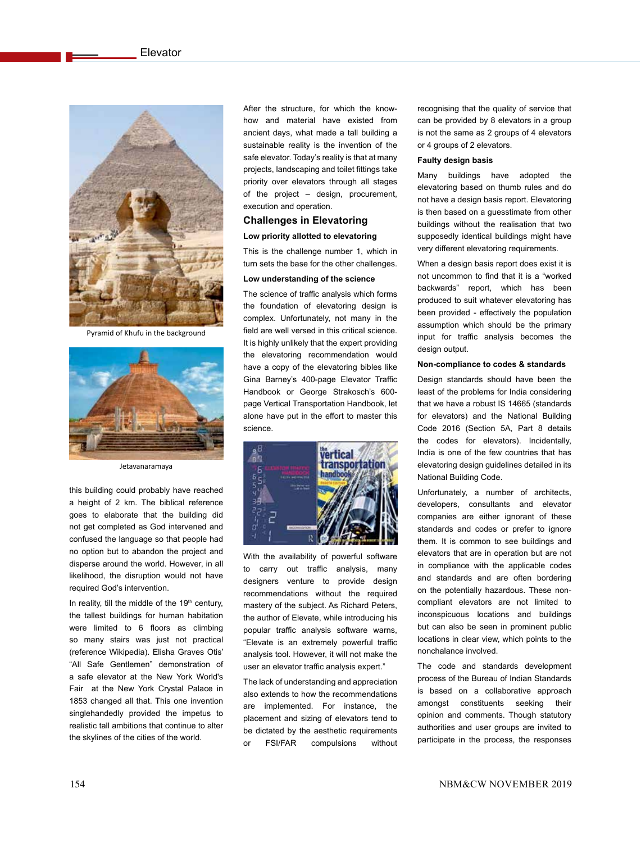

Pyramid of Khufu in the background



Jetavanaramaya

this building could probably have reached a height of 2 km. The biblical reference goes to elaborate that the building did not get completed as God intervened and confused the language so that people had no option but to abandon the project and disperse around the world. However, in all likelihood, the disruption would not have required God's intervention.

In reality, till the middle of the  $19<sup>th</sup>$  century, the tallest buildings for human habitation were limited to 6 floors as climbing so many stairs was just not practical (reference Wikipedia). Elisha Graves Otis' "All Safe Gentlemen" demonstration of a safe elevator at the New York World's Fair at the New York Crystal Palace in 1853 changed all that. This one invention singlehandedly provided the impetus to realistic tall ambitions that continue to alter the skylines of the cities of the world.

After the structure, for which the knowhow and material have existed from ancient days, what made a tall building a sustainable reality is the invention of the safe elevator. Today's reality is that at many projects, landscaping and toilet fittings take priority over elevators through all stages of the project – design, procurement, execution and operation.

# **Challenges in Elevatoring Low priority allotted to elevatoring**

This is the challenge number 1, which in turn sets the base for the other challenges.

# **Low understanding of the science**

The science of traffic analysis which forms the foundation of elevatoring design is complex. Unfortunately, not many in the field are well versed in this critical science. It is highly unlikely that the expert providing the elevatoring recommendation would have a copy of the elevatoring bibles like Gina Barney's 400-page Elevator Traffic Handbook or George Strakosch's 600 page Vertical Transportation Handbook, let alone have put in the effort to master this science.



With the availability of powerful software to carry out traffic analysis, many designers venture to provide design recommendations without the required mastery of the subject. As Richard Peters, the author of Elevate, while introducing his popular traffic analysis software warns, "Elevate is an extremely powerful traffic analysis tool. However, it will not make the user an elevator traffic analysis expert."

The lack of understanding and appreciation also extends to how the recommendations are implemented. For instance, the placement and sizing of elevators tend to be dictated by the aesthetic requirements or FSI/FAR compulsions without

recognising that the quality of service that can be provided by 8 elevators in a group is not the same as 2 groups of 4 elevators or 4 groups of 2 elevators.

### **Faulty design basis**

Many buildings have adopted the elevatoring based on thumb rules and do not have a design basis report. Elevatoring is then based on a guesstimate from other buildings without the realisation that two supposedly identical buildings might have very different elevatoring requirements.

When a design basis report does exist it is not uncommon to find that it is a "worked backwards" report, which has been produced to suit whatever elevatoring has been provided - effectively the population assumption which should be the primary input for traffic analysis becomes the design output.

### **Non-compliance to codes & standards**

Design standards should have been the least of the problems for India considering that we have a robust IS 14665 (standards for elevators) and the National Building Code 2016 (Section 5A, Part 8 details the codes for elevators). Incidentally, India is one of the few countries that has elevatoring design guidelines detailed in its National Building Code.

Unfortunately, a number of architects, developers, consultants and elevator companies are either ignorant of these standards and codes or prefer to ignore them. It is common to see buildings and elevators that are in operation but are not in compliance with the applicable codes and standards and are often bordering on the potentially hazardous. These noncompliant elevators are not limited to inconspicuous locations and buildings but can also be seen in prominent public locations in clear view, which points to the nonchalance involved.

The code and standards development process of the Bureau of Indian Standards is based on a collaborative approach amongst constituents seeking their opinion and comments. Though statutory authorities and user groups are invited to participate in the process, the responses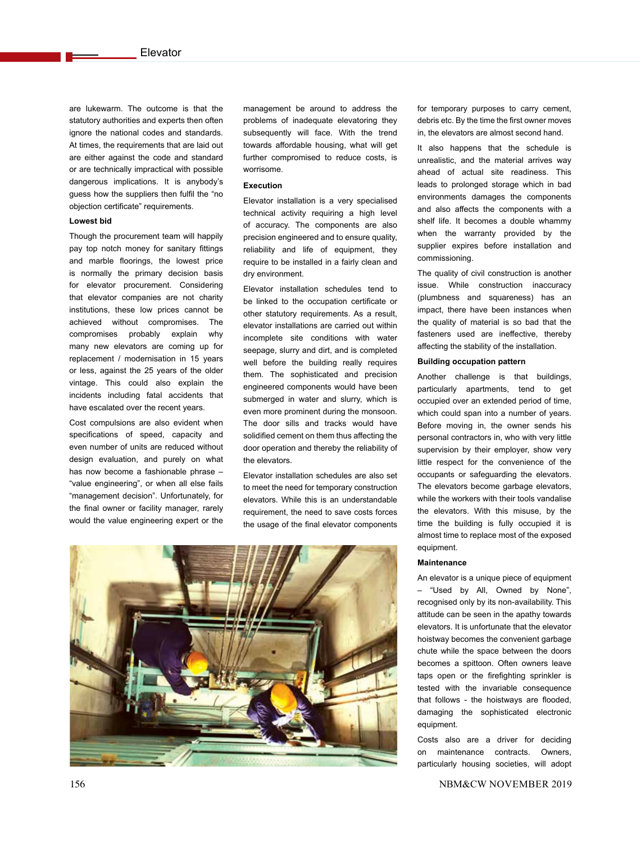are lukewarm. The outcome is that the statutory authorities and experts then often ignore the national codes and standards. At times, the requirements that are laid out are either against the code and standard or are technically impractical with possible dangerous implications. It is anybody's guess how the suppliers then fulfil the "no objection certificate" requirements.

### **Lowest bid**

Though the procurement team will happily pay top notch money for sanitary fittings and marble floorings, the lowest price is normally the primary decision basis for elevator procurement. Considering that elevator companies are not charity institutions, these low prices cannot be achieved without compromises. The compromises probably explain why many new elevators are coming up for replacement / modernisation in 15 years or less, against the 25 years of the older vintage. This could also explain the incidents including fatal accidents that have escalated over the recent years.

Cost compulsions are also evident when specifications of speed, capacity and even number of units are reduced without design evaluation, and purely on what has now become a fashionable phrase – "value engineering", or when all else fails "management decision". Unfortunately, for the final owner or facility manager, rarely would the value engineering expert or the

management be around to address the problems of inadequate elevatoring they subsequently will face. With the trend towards affordable housing, what will get further compromised to reduce costs, is worrisome.

## **Execution**

Elevator installation is a very specialised technical activity requiring a high level of accuracy. The components are also precision engineered and to ensure quality, reliability and life of equipment, they require to be installed in a fairly clean and dry environment.

Elevator installation schedules tend to be linked to the occupation certificate or other statutory requirements. As a result, elevator installations are carried out within incomplete site conditions with water seepage, slurry and dirt, and is completed well before the building really requires them. The sophisticated and precision engineered components would have been submerged in water and slurry, which is even more prominent during the monsoon. The door sills and tracks would have solidified cement on them thus affecting the door operation and thereby the reliability of the elevators.

Elevator installation schedules are also set to meet the need for temporary construction elevators. While this is an understandable requirement, the need to save costs forces the usage of the final elevator components



for temporary purposes to carry cement, debris etc. By the time the first owner moves in, the elevators are almost second hand.

It also happens that the schedule is unrealistic, and the material arrives way ahead of actual site readiness. This leads to prolonged storage which in bad environments damages the components and also affects the components with a shelf life. It becomes a double whammy when the warranty provided by the supplier expires before installation and commissioning.

The quality of civil construction is another issue. While construction inaccuracy (plumbness and squareness) has an impact, there have been instances when the quality of material is so bad that the fasteners used are ineffective, thereby affecting the stability of the installation.

### **Building occupation pattern**

Another challenge is that buildings, particularly apartments, tend to get occupied over an extended period of time, which could span into a number of years. Before moving in, the owner sends his personal contractors in, who with very little supervision by their employer, show very little respect for the convenience of the occupants or safeguarding the elevators. The elevators become garbage elevators, while the workers with their tools vandalise the elevators. With this misuse, by the time the building is fully occupied it is almost time to replace most of the exposed equipment.

### **Maintenance**

An elevator is a unique piece of equipment – "Used by All, Owned by None", recognised only by its non-availability. This attitude can be seen in the apathy towards elevators. It is unfortunate that the elevator hoistway becomes the convenient garbage chute while the space between the doors becomes a spittoon. Often owners leave taps open or the firefighting sprinkler is tested with the invariable consequence that follows - the hoistways are flooded, damaging the sophisticated electronic equipment.

Costs also are a driver for deciding on maintenance contracts. Owners, particularly housing societies, will adopt